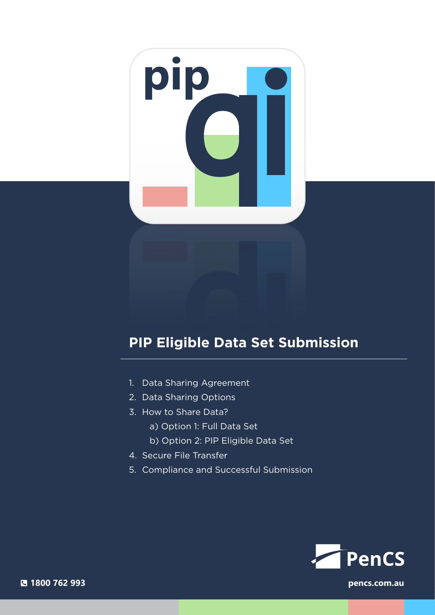# pip

# **PIP Eligible Data Set Submission**

- 1. Data Sharing Agreement
- 2. Data Sharing Options
- 3. How to Share Data?
	- a) Option 1: Full Data Set
	- b) Option 2: PIP Eligible Data Set
- 4. Secure File Transfer
- 5. Compliance and Successful Submission



**1800 762 993 pencs.com.au**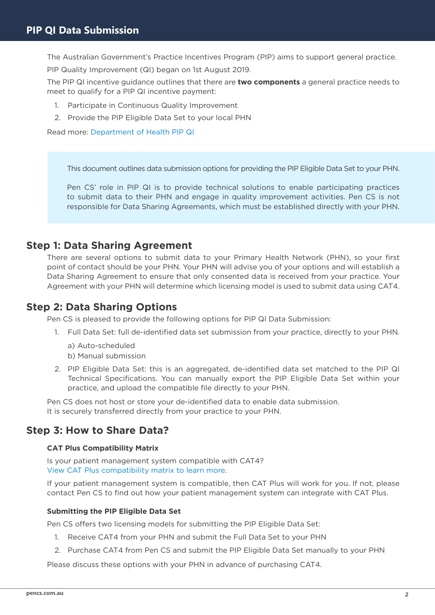The Australian Government's Practice Incentives Program (PIP) aims to support general practice.

PIP Quality Improvement (QI) began on 1st August 2019.

The PIP QI incentive guidance outlines that there are **two components** a general practice needs to meet to qualify for a PIP QI incentive payment:

- 1. Participate in Continuous Quality Improvement
- 2. Provide the PIP Eligible Data Set to your local PHN

Read more: [Department of Health PIP QI](https://www1.health.gov.au/internet/main/publishing.nsf/Content/PIP-QI_Incentive_guidance)

This document outlines data submission options for providing the PIP Eligible Data Set to your PHN.

Pen CS' role in PIP QI is to provide technical solutions to enable participating practices to submit data to their PHN and engage in quality improvement activities. Pen CS is not responsible for Data Sharing Agreements, which must be established directly with your PHN.

# **Step 1: Data Sharing Agreement**

There are several options to submit data to your Primary Health Network (PHN), so your first point of contact should be your PHN. Your PHN will advise you of your options and will establish a Data Sharing Agreement to ensure that only consented data is received from your practice. Your Agreement with your PHN will determine which licensing model is used to submit data using CAT4.

# **Step 2: Data Sharing Options**

Pen CS is pleased to provide the following options for PIP QI Data Submission:

- 1. Full Data Set: full de-identified data set submission from your practice, directly to your PHN.
	- a) Auto-scheduled
	- b) Manual submission
- 2. PIP Eligible Data Set: this is an aggregated, de-identified data set matched to the PIP QI Technical Specifications. You can manually export the PIP Eligible Data Set within your practice, and upload the compatible file directly to your PHN.

Pen CS does not host or store your de-identified data to enable data submission. It is securely transferred directly from your practice to your PHN.

# **Step 3: How to Share Data?**

### **CAT Plus Compatibility Matrix**

Is your patient management system compatible with CAT4? [View CAT Plus compatibility matrix to learn more](https://help.pencs.com.au/display/CG/Clinical+and+Billing+System+Compatibility).

If your patient management system is compatible, then CAT Plus will work for you. If not, please contact Pen CS to find out how your patient management system can integrate with CAT Plus.

### **Submitting the PIP Eligible Data Set**

Pen CS offers two licensing models for submitting the PIP Eligible Data Set:

- 1. Receive CAT4 from your PHN and submit the Full Data Set to your PHN
- 2. Purchase CAT4 from Pen CS and submit the PIP Eligible Data Set manually to your PHN

Please discuss these options with your PHN in advance of purchasing CAT4.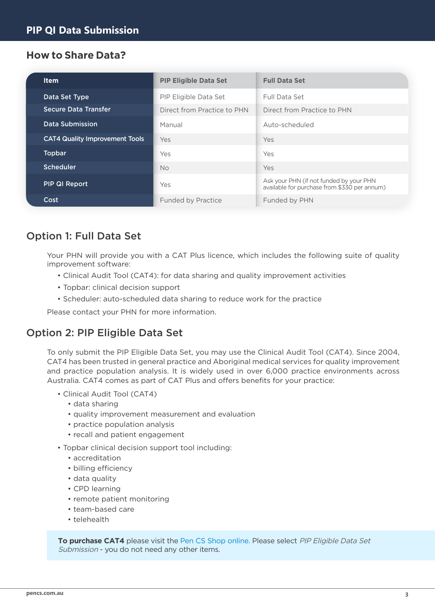# **How to Share Data?**

| <b>Item</b>                           | <b>PIP Eligible Data Set</b> | <b>Full Data Set</b>                                                                    |  |  |
|---------------------------------------|------------------------------|-----------------------------------------------------------------------------------------|--|--|
| Data Set Type                         | <b>PIP Eligible Data Set</b> | Full Data Set                                                                           |  |  |
| <b>Secure Data Transfer</b>           | Direct from Practice to PHN  | Direct from Practice to PHN                                                             |  |  |
| <b>Data Submission</b>                | Manual                       | Auto-scheduled                                                                          |  |  |
| <b>CAT4 Quality Improvement Tools</b> | Yes                          | Yes                                                                                     |  |  |
| <b>Topbar</b>                         | Yes                          | Yes                                                                                     |  |  |
| <b>Scheduler</b>                      | <b>No</b>                    | Yes                                                                                     |  |  |
| <b>PIP QI Report</b>                  | Yes                          | Ask your PHN (if not funded by your PHN<br>available for purchase from \$330 per annum) |  |  |
| Cost                                  | <b>Funded by Practice</b>    | Funded by PHN                                                                           |  |  |

# Option 1: Full Data Set

Your PHN will provide you with a CAT Plus licence, which includes the following suite of quality improvement software:

- Clinical Audit Tool (CAT4): for data sharing and quality improvement activities
- Topbar: clinical decision support
- Scheduler: auto-scheduled data sharing to reduce work for the practice

Please contact your PHN for more information.

# Option 2: PIP Eligible Data Set

To only submit the PIP Eligible Data Set, you may use the Clinical Audit Tool (CAT4). Since 2004, CAT4 has been trusted in general practice and Aboriginal medical services for quality improvement and practice population analysis. It is widely used in over 6,000 practice environments across Australia. CAT4 comes as part of CAT Plus and offers benefits for your practice:

- Clinical Audit Tool (CAT4)
	- data sharing
	- quality improvement measurement and evaluation
	- practice population analysis
	- recall and patient engagement
- Topbar clinical decision support tool including:
	- accreditation
	- billing efficiency
	- data quality
	- CPD learning
	- remote patient monitoring
	- team-based care
	- telehealth

**To purchase CAT4** please visit the [Pen CS Shop online.](https://users.pencs.com.au/admin/public/store/shopfront.aspx) Please select PIP Eligible Data Set Submission - you do not need any other items.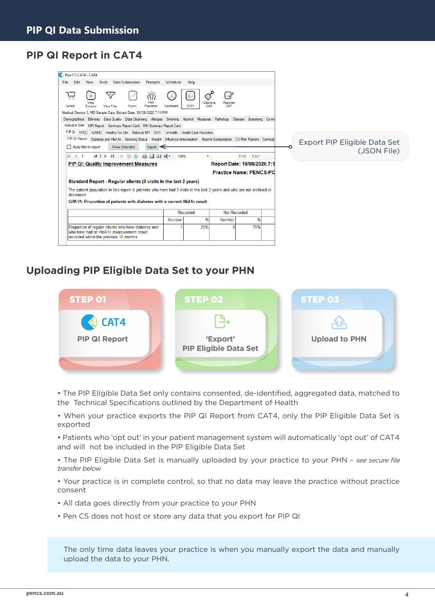# **PIP QI Report in CAT4**

| Pen CS CAT4 - CAT4                                                                                                                                                                                                                                                                                                                                                                                                                                                   |                          |                                        |                                 |                                |  |                              |
|----------------------------------------------------------------------------------------------------------------------------------------------------------------------------------------------------------------------------------------------------------------------------------------------------------------------------------------------------------------------------------------------------------------------------------------------------------------------|--------------------------|----------------------------------------|---------------------------------|--------------------------------|--|------------------------------|
| <b>Data Submission</b><br>File<br>Edit<br>View<br>Tools<br>Prompts                                                                                                                                                                                                                                                                                                                                                                                                   | Scheduler                | Help                                   |                                 |                                |  |                              |
| ק<br>View<br>Report<br>Collect<br>Population<br><b>View Filter</b><br>Extracts<br>Medical Director 3, MD Sample Data; Extract Date: 18/08/2020 7:14 PM<br>Demographics Ethnicity Data Quality Data Cleansing Allergies Smoking Alcohol Measures Pathology Disease Screening Co-md<br><b>Indicator Sets</b><br>NPI Report Summary Report Card MH Summary Report Card<br>PIP QI APCC   QAIHC   Healthy For Life   National KPI   OSR   eHealth   Health Care Providers | Dashboard                | Э<br>- III<br>Cleansing<br>CAT4<br>CAT | $\exists z$<br>Registrar<br>CAT |                                |  |                              |
| PIP QI Report Diabetes and HbA1c Smoking Status Weight Influenza Immunisation Alcohol Consumption CV Risk Factors Cervical                                                                                                                                                                                                                                                                                                                                           |                          |                                        |                                 |                                |  | Export PIP Eligible Data Set |
| Apply filter to report<br><b>Show Extended</b><br>Export                                                                                                                                                                                                                                                                                                                                                                                                             |                          |                                        |                                 |                                |  |                              |
| $\bigcirc$<br>Ŵ.<br>(x)<br>日口只<br>of $3 \triangleright$<br>$\mathbb{N}$<br>$\leftarrow$<br>$\mathbb{N}$                                                                                                                                                                                                                                                                                                                                                              | 100%                     | $\blacktriangledown$                   |                                 | Find   Next                    |  | (JSON File)                  |
| <b>PIP QI: Quality Improvement Measures</b>                                                                                                                                                                                                                                                                                                                                                                                                                          |                          |                                        |                                 | Report Date: 18/08/2020 7:1    |  |                              |
|                                                                                                                                                                                                                                                                                                                                                                                                                                                                      |                          |                                        |                                 | <b>Practice Name: PENCS-PC</b> |  |                              |
|                                                                                                                                                                                                                                                                                                                                                                                                                                                                      |                          |                                        |                                 |                                |  |                              |
| Standard Report - Regular clients (3 visits in the last 2 years)                                                                                                                                                                                                                                                                                                                                                                                                     |                          |                                        |                                 |                                |  |                              |
| The patient population in this report is patients who have had 3 visits in the last 2 years and who are not archived or<br>deceased.                                                                                                                                                                                                                                                                                                                                 |                          |                                        |                                 |                                |  |                              |
| QIM 01: Proportion of patients with diabetes with a current HbA1c result                                                                                                                                                                                                                                                                                                                                                                                             |                          |                                        |                                 |                                |  |                              |
|                                                                                                                                                                                                                                                                                                                                                                                                                                                                      | Not Recorded<br>Recorded |                                        |                                 |                                |  |                              |
|                                                                                                                                                                                                                                                                                                                                                                                                                                                                      | Number                   | %                                      | Number                          | %                              |  |                              |
| Proportion of regular clients who have diabetes and<br>who have had an HbA1c measurement result<br>recorded within the previous 12 months                                                                                                                                                                                                                                                                                                                            |                          | 25%                                    |                                 | 75%                            |  |                              |
|                                                                                                                                                                                                                                                                                                                                                                                                                                                                      |                          |                                        |                                 |                                |  |                              |

# **Uploading PIP Eligible Data Set to your PHN**



• The PIP Eligible Data Set only contains consented, de-identified, aggregated data, matched to the [Technical Specifications outlined by the Department of Health](http://Technical Specifications outlined by the Department of Health)

• When your practice exports the PIP QI Report from CAT4, only the PIP Eligible Data Set is exported

• Patients who 'opt out' in your patient management system will automatically 'opt out' of CAT4 and will not be included in the PIP Eligible Data Set

• The PIP Eligible Data Set is manually uploaded by your practice to your PHN - see secure file transfer below

• Your practice is in complete control, so that no data may leave the practice without practice consent

- All data goes directly from your practice to your PHN
- Pen CS does not host or store any data that you export for PIP QI

The only time data leaves your practice is when you manually export the data and manually upload the data to your PHN.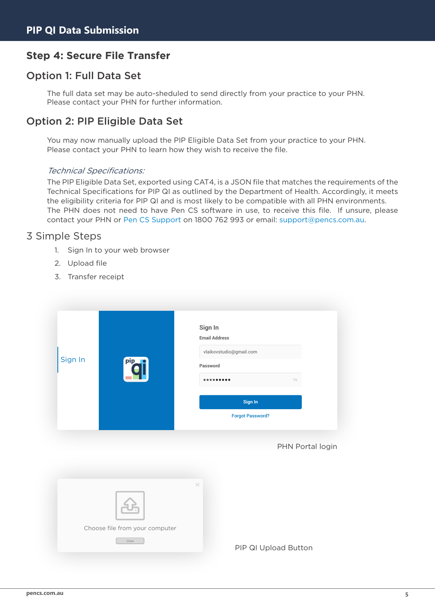# **Step 4: Secure File Transfer**

# Option 1: Full Data Set

The full data set may be auto-sheduled to send directly from your practice to your PHN. Please contact your PHN for further information.

# Option 2: PIP Eligible Data Set

You may now manually upload the PIP Eligible Data Set from your practice to your PHN. Please contact your PHN to learn how they wish to receive the file.

### Technical Specifications:

The PIP Eligible Data Set, exported using CAT4, is a JSON file that matches the requirements of the Technical Specifications for PIP QI as outlined by the Department of Health. Accordingly, it meets the eligibility criteria for PIP QI and is most likely to be compatible with all PHN environments. The PHN does not need to have Pen CS software in use, to receive this file. If unsure, please contact your PHN or [Pen CS Support o](http://Pen CS Support)n [1800 762 993](tel:1800%20762%20993) or email: [support@pencs.com.au.](mailto:support%40pencs.com.au?subject=)

## 3 Simple Steps

- 1. Sign In to your web browser
- 2. Upload file
- 3. Transfer receipt

| Sign In<br>pip_1 | Sign In<br><b>Email Address</b><br>vlaikovstudio@gmail.com<br>Password<br>Ì<br>Sign In<br><b>Forgot Password?</b> |
|------------------|-------------------------------------------------------------------------------------------------------------------|
|                  | PHN Portal login                                                                                                  |
|                  | $\times$                                                                                                          |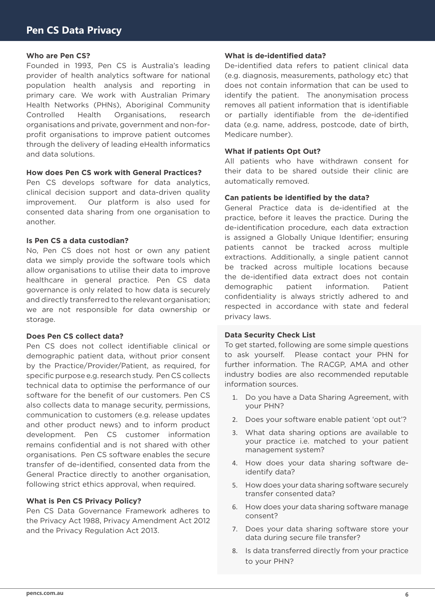### **Who are Pen CS?**

Founded in 1993, Pen CS is Australia's leading provider of health analytics software for national population health analysis and reporting in primary care. We work with Australian Primary Health Networks (PHNs), Aboriginal Community Controlled Health Organisations, research organisations and private, government and non-forprofit organisations to improve patient outcomes through the delivery of leading eHealth informatics and data solutions.

### **How does Pen CS work with General Practices?**

Pen CS develops software for data analytics, clinical decision support and data-driven quality improvement. Our platform is also used for consented data sharing from one organisation to another.

### **Is Pen CS a data custodian?**

No, Pen CS does not host or own any patient data we simply provide the software tools which allow organisations to utilise their data to improve healthcare in general practice. Pen CS data governance is only related to how data is securely and directly transferred to the relevant organisation; we are not responsible for data ownership or storage.

### **Does Pen CS collect data?**

Pen CS does not collect identifiable clinical or demographic patient data, without prior consent by the Practice/Provider/Patient, as required, for specific purpose e.g. research study. Pen CS collects technical data to optimise the performance of our software for the benefit of our customers. Pen CS also collects data to manage security, permissions, communication to customers (e.g. release updates and other product news) and to inform product development. Pen CS customer information remains confidential and is not shared with other organisations. Pen CS software enables the secure transfer of de-identified, consented data from the General Practice directly to another organisation, following strict ethics approval, when required.

### **What is Pen CS Privacy Policy?**

Pen CS Data Governance Framework adheres to the Privacy Act 1988, Privacy Amendment Act 2012 and the Privacy Regulation Act 2013.

### **What is de-identified data?**

De-identified data refers to patient clinical data (e.g. diagnosis, measurements, pathology etc) that does not contain information that can be used to identify the patient. The anonymisation process removes all patient information that is identifiable or partially identifiable from the de-identified data (e.g. name, address, postcode, date of birth, Medicare number).

### **What if patients Opt Out?**

All patients who have withdrawn consent for their data to be shared outside their clinic are automatically removed.

### **Can patients be identified by the data?**

General Practice data is de-identified at the practice, before it leaves the practice. During the de-identification procedure, each data extraction is assigned a Globally Unique Identifier; ensuring patients cannot be tracked across multiple extractions. Additionally, a single patient cannot be tracked across multiple locations because the de-identified data extract does not contain demographic patient information. Patient confidentiality is always strictly adhered to and respected in accordance with state and federal privacy laws.

### **Data Security Check List**

To get started, following are some simple questions to ask yourself. Please contact your PHN for further information. The RACGP, AMA and other industry bodies are also recommended reputable information sources.

- 1. Do you have a Data Sharing Agreement, with your PHN?
- 2. Does your software enable patient 'opt out'?
- 3. What data sharing options are available to your practice i.e. matched to your patient management system?
- 4. How does your data sharing software deidentify data?
- 5. How does your data sharing software securely transfer consented data?
- 6. How does your data sharing software manage consent?
- 7. Does your data sharing software store your data during secure file transfer?
- 8. Is data transferred directly from your practice to your PHN?